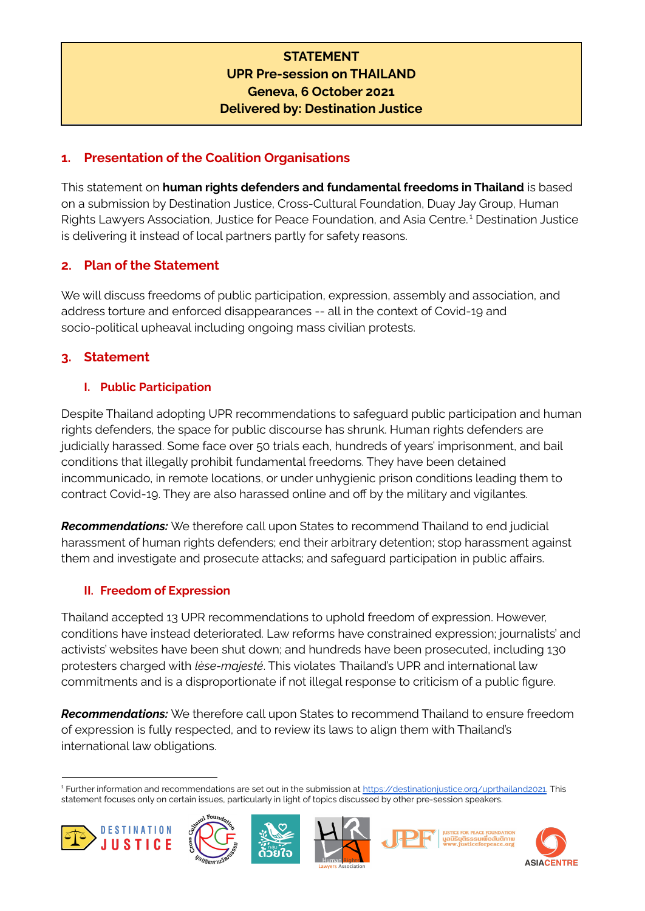# **STATEMENT UPR Pre-session on THAILAND Geneva, 6 October 2021 Delivered by: Destination Justice**

## **1. Presentation of the Coalition Organisations**

This statement on **human rights defenders and fundamental freedoms in Thailand** is based on a submission by Destination Justice, Cross-Cultural Foundation, Duay Jay Group, Human Rights Lawyers Association, Justice for Peace Foundation, and Asia Centre. <sup>1</sup> Destination Justice is delivering it instead of local partners partly for safety reasons.

# **2. Plan of the Statement**

We will discuss freedoms of public participation, expression, assembly and association, and address torture and enforced disappearances -- all in the context of Covid-19 and socio-political upheaval including ongoing mass civilian protests.

# **3. Statement**

## **I. Public Participation**

Despite Thailand adopting UPR recommendations to safeguard public participation and human rights defenders, the space for public discourse has shrunk. Human rights defenders are judicially harassed. Some face over 50 trials each, hundreds of years' imprisonment, and bail conditions that illegally prohibit fundamental freedoms. They have been detained incommunicado, in remote locations, or under unhygienic prison conditions leading them to contract Covid-19. They are also harassed online and off by the military and vigilantes.

*Recommendations:* We therefore call upon States to recommend Thailand to end judicial harassment of human rights defenders; end their arbitrary detention; stop harassment against them and investigate and prosecute attacks; and safeguard participation in public affairs.

### **II. Freedom of Expression**

Thailand accepted 13 UPR recommendations to uphold freedom of expression. However, conditions have instead deteriorated. Law reforms have constrained expression; journalists' and activists' websites have been shut down; and hundreds have been prosecuted, including 130 protesters charged with *lèse-majesté*. This violates Thailand's UPR and international law commitments and is a disproportionate if not illegal response to criticism of a public figure.

*Recommendations:* We therefore call upon States to recommend Thailand to ensure freedom of expression is fully respected, and to review its laws to align them with Thailand's international law obligations.

<sup>1</sup> Further information and recommendations are set out in the submission at [https://destinationjustice.org/uprthailand2021.](https://destinationjustice.org/uprthailand2021) This statement focuses only on certain issues, particularly in light of topics discussed by other pre-session speakers.